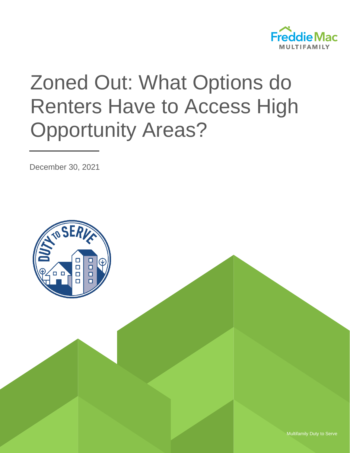

# Zoned Out: What Options do Renters Have to Access High Opportunity Areas?

December 30, 2021



Multifamily Duty to Serve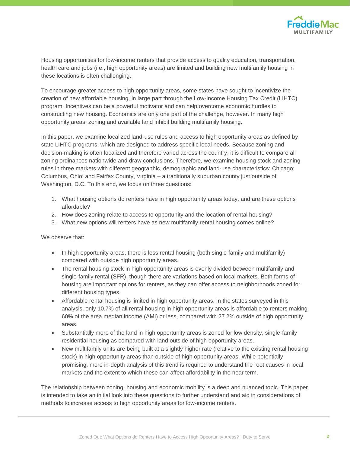

Housing opportunities for low-income renters that provide access to quality education, transportation, health care and jobs (i.e., high opportunity areas) are limited and building new multifamily housing in these locations is often challenging.

To encourage greater access to high opportunity areas, some states have sought to incentivize the creation of new affordable housing, in large part through the Low-Income Housing Tax Credit (LIHTC) program. Incentives can be a powerful motivator and can help overcome economic hurdles to constructing new housing. Economics are only one part of the challenge, however. In many high opportunity areas, zoning and available land inhibit building multifamily housing.

In this paper, we examine localized land-use rules and access to high opportunity areas as defined by state LIHTC programs, which are designed to address specific local needs. Because zoning and decision-making is often localized and therefore varied across the country, it is difficult to compare all zoning ordinances nationwide and draw conclusions. Therefore, we examine housing stock and zoning rules in three markets with different geographic, demographic and land-use characteristics: Chicago; Columbus, Ohio; and Fairfax County, Virginia – a traditionally suburban county just outside of Washington, D.C. To this end, we focus on three questions:

- 1. What housing options do renters have in high opportunity areas today, and are these options affordable?
- 2. How does zoning relate to access to opportunity and the location of rental housing?
- 3. What new options will renters have as new multifamily rental housing comes online?

We observe that:

- In high opportunity areas, there is less rental housing (both single family and multifamily) compared with outside high opportunity areas.
- The rental housing stock in high opportunity areas is evenly divided between multifamily and single-family rental (SFR), though there are variations based on local markets. Both forms of housing are important options for renters, as they can offer access to neighborhoods zoned for different housing types.
- Affordable rental housing is limited in high opportunity areas. In the states surveyed in this analysis, only 10.7% of all rental housing in high opportunity areas is affordable to renters making 60% of the area median income (AMI) or less, compared with 27.2% outside of high opportunity areas.
- Substantially more of the land in high opportunity areas is zoned for low density, single-family residential housing as compared with land outside of high opportunity areas.
- New multifamily units are being built at a slightly higher rate (relative to the existing rental housing stock) in high opportunity areas than outside of high opportunity areas. While potentially promising, more in-depth analysis of this trend is required to understand the root causes in local markets and the extent to which these can affect affordability in the near term.

The relationship between zoning, housing and economic mobility is a deep and nuanced topic. This paper is intended to take an initial look into these questions to further understand and aid in considerations of methods to increase access to high opportunity areas for low-income renters.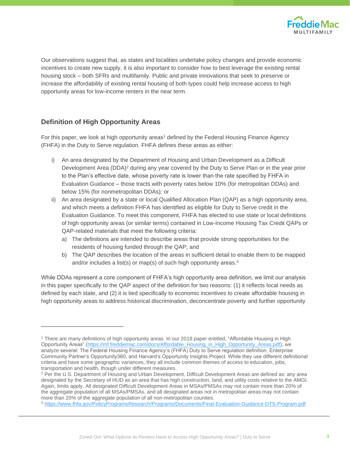

Our observations suggest that, as states and localities undertake policy changes and provide economic incentives to create new supply, it is also important to consider how to best leverage the existing rental housing stock – both SFRs and multifamily. Public and private innovations that seek to preserve or increase the affordability of existing rental housing of both types could help increase access to high opportunity areas for low-income renters in the near term.

## **Definition of High Opportunity Areas**

For this paper, we look at high opportunity areas<sup>1</sup> defined by the Federal Housing Finance Agency (FHFA) in the Duty to Serve regulation. FHFA defines these areas as either:

- i) An area designated by the Department of Housing and Urban Development as a Difficult Development Area (DDA)<sup>2</sup> during any year covered by the Duty to Serve Plan or in the year prior to the Plan's effective date, whose poverty rate is lower than the rate specified by FHFA in Evaluation Guidance – those tracts with poverty rates below 10% (for metropolitan DDAs) and below 15% (for nonmetropolitan DDAs); or
- ii) An area designated by a state or local Qualified Allocation Plan (QAP) as a high opportunity area, and which meets a definition FHFA has identified as eligible for Duty to Serve credit in the Evaluation Guidance. To meet this component, FHFA has elected to use state or local definitions of high opportunity areas (or similar terms) contained in Low-Income Housing Tax Credit QAPs or QAP-related materials that meet the following criteria:
	- a) The definitions are intended to describe areas that provide strong opportunities for the residents of housing funded through the QAP; and
	- b) The QAP describes the location of the areas in sufficient detail to enable them to be mapped and/or includes a list(s) or map(s) of such high opportunity areas.<sup>3</sup>

While DDAs represent a core component of FHFA's high opportunity area definition, we limit our analysis in this paper specifically to the QAP aspect of the definition for two reasons: (1) it reflects local needs as defined by each state, and (2) it is tied specifically to economic incentives to create affordable housing in high opportunity areas to address historical discrimination, deconcentrate poverty and further opportunity

<sup>1</sup> There are many definitions of high opportunity areas. In our 2018 paper entitled, "Affordable Housing in High Opportunity Areas" [\(https://mf.freddiemac.com/docs/Affordable\\_Housing\\_in\\_High\\_Opportunity\\_Areas.pdf\)](https://mf.freddiemac.com/docs/Affordable_Housing_in_High_Opportunity_Areas.pdf), we analyze several: The Federal Housing Finance Agency's (FHFA) Duty to Serve regulation definition, Enterprise Community Partner's Opportunity360, and Harvard's Opportunity Insights Project. While they use different definitional criteria and have some geographic variances, they all include common themes of access to education, jobs, transportation and health, though under different measures.

<sup>&</sup>lt;sup>2</sup> Per the U.S. Department of Housing and Urban Development, Difficult Development Areas are defined as: any area designated by the Secretary of HUD as an area that has high construction, land, and utility costs relative to the AMGI. Again, limits apply. All designated Difficult Development Areas in MSAs/PMSAs may not contain more than 20% of the aggregate population of all MSAs/PMSAs, and all designated areas not in metropolitan areas may not contain more than 20% of the aggregate population of all non-metropolitan counties.

<sup>3</sup> <https://www.fhfa.gov/PolicyProgramsResearch/Programs/Documents/Final-Evaluation-Guidance-DTS-Program.pdf>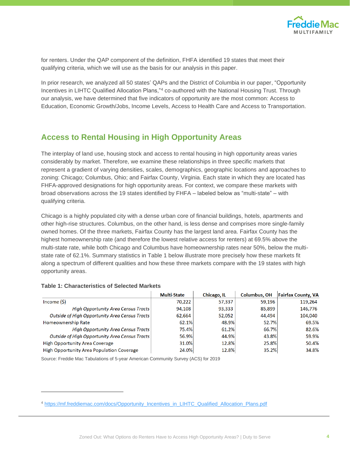

for renters. Under the QAP component of the definition, FHFA identified 19 states that meet their qualifying criteria, which we will use as the basis for our analysis in this paper.

In prior research, we analyzed all 50 states' QAPs and the District of Columbia in our paper, "Opportunity Incentives in LIHTC Qualified Allocation Plans,"<sup>4</sup> co-authored with the National Housing Trust. Through our analysis, we have determined that five indicators of opportunity are the most common: Access to Education, Economic Growth/Jobs, Income Levels, Access to Health Care and Access to Transportation.

## **Access to Rental Housing in High Opportunity Areas**

The interplay of land use, housing stock and access to rental housing in high opportunity areas varies considerably by market. Therefore, we examine these relationships in three specific markets that represent a gradient of varying densities, scales, demographics, geographic locations and approaches to zoning: Chicago; Columbus, Ohio; and Fairfax County, Virginia. Each state in which they are located has FHFA-approved designations for high opportunity areas. For context, we compare these markets with broad observations across the 19 states identified by FHFA – labeled below as "multi-state" – with qualifying criteria.

Chicago is a highly populated city with a dense urban core of financial buildings, hotels, apartments and other high-rise structures. Columbus, on the other hand, is less dense and comprises more single-family owned homes. Of the three markets, Fairfax County has the largest land area. Fairfax County has the highest homeownership rate (and therefore the lowest relative access for renters) at 69.5% above the multi-state rate, while both Chicago and Columbus have homeownership rates near 50%, below the multistate rate of 62.1%. Summary statistics in Table 1 below illustrate more precisely how these markets fit along a spectrum of different qualities and how these three markets compare with the 19 states with high opportunity areas.

#### **Table 1: Characteristics of Selected Markets**

|                                                  | <b>Multi-State</b> | Chicago, IL | <b>Columbus, OH</b> | <b>Fairfax County, VA</b> |
|--------------------------------------------------|--------------------|-------------|---------------------|---------------------------|
| Income(S)                                        | 70,222             | 57,337      | 59.196              | 119,264                   |
| High Opportunity Area Census Tracts              | 94,108             | 93,333      | 85,899              | 146,776                   |
| Outside of High Opportunity Area Census Tracts   | 62,664             | 52,052      | 44,494              | 104,040                   |
| Homeownership Rate                               | 62.1%              | 48.9%       | 52.7%               | 69.5%                     |
| High Opportunity Area Census Tracts              | 75.4%              | 61.2%       | 66.7%               | 82.6%                     |
| Outside of High Opportunity Area Census Tracts   | 56.9%              | 44.9%       | 43.8%               | 59.9%                     |
| <b>High Opportunity Area Coverage</b>            | 31.0%              | 12.8%       | 25.8%               | 50.4%                     |
| <b>High Opportunity Area Population Coverage</b> | 24.0%              | 12.8%       | 35.2%               | 34.8%                     |

Source: Freddie Mac Tabulations of 5-year American Community Survey (ACS) for 2019

<sup>4</sup> [https://mf.freddiemac.com/docs/Opportunity\\_Incentives\\_in\\_LIHTC\\_Qualified\\_Allocation\\_Plans.pdf](https://mf.freddiemac.com/docs/Opportunity_Incentives_in_LIHTC_Qualified_Allocation_Plans.pdf)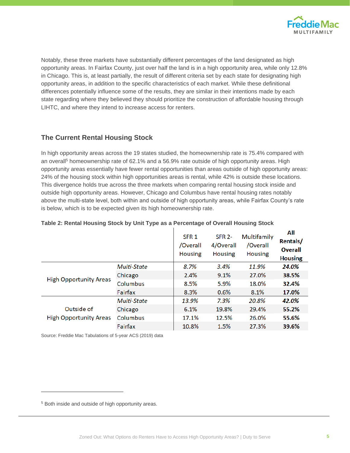

Notably, these three markets have substantially different percentages of the land designated as high opportunity areas. In Fairfax County, just over half the land is in a high opportunity area, while only 12.8% in Chicago. This is, at least partially, the result of different criteria set by each state for designating high opportunity areas, in addition to the specific characteristics of each market. While these definitional differences potentially influence some of the results, they are similar in their intentions made by each state regarding where they believed they should prioritize the construction of affordable housing through LIHTC, and where they intend to increase access for renters.

## **The Current Rental Housing Stock**

In high opportunity areas across the 19 states studied, the homeownership rate is 75.4% compared with an overall<sup>5</sup> homeownership rate of 62.1% and a 56.9% rate outside of high opportunity areas. High opportunity areas essentially have fewer rental opportunities than areas outside of high opportunity areas: 24% of the housing stock within high opportunities areas is rental, while 42% is outside these locations. This divergence holds true across the three markets when comparing rental housing stock inside and outside high opportunity areas. However, Chicago and Columbus have rental housing rates notably above the multi-state level, both within and outside of high opportunity areas, while Fairfax County's rate is below, which is to be expected given its high homeownership rate.

|                                             |             | SFR <sub>1</sub><br>/Overall<br><b>Housing</b> | <b>SFR 2-</b><br>4/Overall<br><b>Housing</b> | Multifamily<br>/Overall<br><b>Housing</b> | All<br>Rentals/<br><b>Overall</b><br><b>Housing</b> |
|---------------------------------------------|-------------|------------------------------------------------|----------------------------------------------|-------------------------------------------|-----------------------------------------------------|
|                                             | Multi-State | 8.7%                                           | 3.4%                                         | 11.9%                                     | 24.0%                                               |
| <b>High Opportunity Areas</b>               | Chicago     | 2.4%                                           | 9.1%                                         | 27.0%                                     | 38.5%                                               |
|                                             | Columbus    | 8.5%                                           | 5.9%                                         | 18.0%                                     | 32.4%                                               |
|                                             | Fairfax     | 8.3%                                           | 0.6%                                         | 8.1%                                      | 17.0%                                               |
|                                             | Multi-State | 13.9%                                          | 7.3%                                         | 20.8%                                     | 42.0%                                               |
| Outside of<br><b>High Opportunity Areas</b> | Chicago     | 6.1%                                           | 19.8%                                        | 29.4%                                     | 55.2%                                               |
|                                             | Columbus    | 17.1%                                          | 12.5%                                        | 26.0%                                     | 55.6%                                               |
|                                             | Fairfax     | 10.8%                                          | 1.5%                                         | 27.3%                                     | 39.6%                                               |
|                                             |             |                                                |                                              |                                           |                                                     |

#### **Table 2: Rental Housing Stock by Unit Type as a Percentage of Overall Housing Stock**

Source: Freddie Mac Tabulations of 5-year ACS (2019) data

<sup>5</sup> Both inside and outside of high opportunity areas.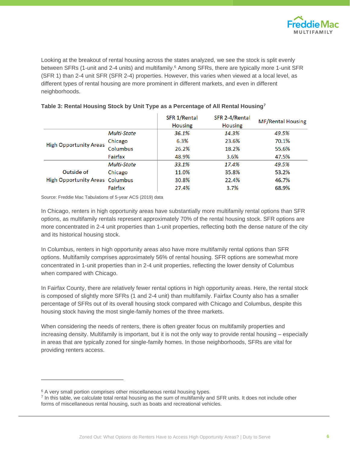

Looking at the breakout of rental housing across the states analyzed, we see the stock is split evenly between SFRs (1-unit and 2-4 units) and multifamily.<sup>6</sup> Among SFRs, there are typically more 1-unit SFR (SFR 1) than 2-4 unit SFR (SFR 2-4) properties. However, this varies when viewed at a local level, as different types of rental housing are more prominent in different markets, and even in different neighborhoods.

|                                        |             | SFR 1/Rental<br><b>Housing</b> | SFR 2-4/Rental<br><b>Housing</b> | <b>MF/Rental Housing</b> |
|----------------------------------------|-------------|--------------------------------|----------------------------------|--------------------------|
|                                        | Multi-State | 36.1%                          | 14.3%                            | 49.5%                    |
| <b>High Opportunity Areas</b>          | Chicago     | 6.3%                           | 23.6%                            | 70.1%                    |
|                                        | Columbus    | 26.2%                          | 18.2%                            | 55.6%                    |
|                                        | Fairfax     | 48.9%                          | 3.6%                             | 47.5%                    |
|                                        | Multi-State | 33.1%                          | 17.4%                            | 49.5%                    |
| Outside of                             | Chicago     | 11.0%                          | 35.8%                            | 53.2%                    |
| <b>High Opportunity Areas Columbus</b> |             | 30.8%                          | 22.4%                            | 46.7%                    |
|                                        | Fairfax     | 27.4%                          | 3.7%                             | 68.9%                    |

### **Table 3: Rental Housing Stock by Unit Type as a Percentage of All Rental Housing<sup>7</sup>**

Source: Freddie Mac Tabulations of 5-year ACS (2019) data

In Chicago, renters in high opportunity areas have substantially more multifamily rental options than SFR options, as multifamily rentals represent approximately 70% of the rental housing stock. SFR options are more concentrated in 2-4 unit properties than 1-unit properties, reflecting both the dense nature of the city and its historical housing stock.

In Columbus, renters in high opportunity areas also have more multifamily rental options than SFR options. Multifamily comprises approximately 56% of rental housing. SFR options are somewhat more concentrated in 1-unit properties than in 2-4 unit properties, reflecting the lower density of Columbus when compared with Chicago.

In Fairfax County, there are relatively fewer rental options in high opportunity areas. Here, the rental stock is composed of slightly more SFRs (1 and 2-4 unit) than multifamily. Fairfax County also has a smaller percentage of SFRs out of its overall housing stock compared with Chicago and Columbus, despite this housing stock having the most single-family homes of the three markets.

When considering the needs of renters, there is often greater focus on multifamily properties and increasing density. Multifamily is important, but it is not the only way to provide rental housing – especially in areas that are typically zoned for single-family homes. In those neighborhoods, SFRs are vital for providing renters access.

<sup>&</sup>lt;sup>6</sup> A very small portion comprises other miscellaneous rental housing types.

<sup>&</sup>lt;sup>7</sup> In this table, we calculate total rental housing as the sum of multifamily and SFR units. It does not include other forms of miscellaneous rental housing, such as boats and recreational vehicles.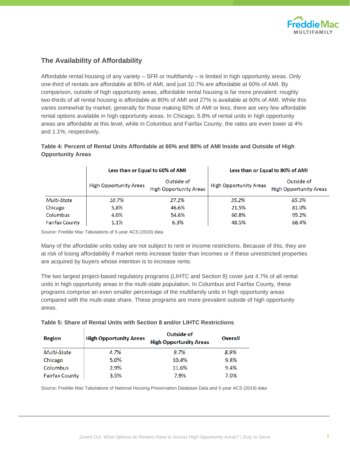

## **The Availability of Affordability**

Affordable rental housing of any variety – SFR or multifamily – is limited in high opportunity areas. Only one-third of rentals are affordable at 80% of AMI, and just 10.7% are affordable at 60% of AMI. By comparison, outside of high opportunity areas, affordable rental housing is far more prevalent: roughly two-thirds of all rental housing is affordable at 80% of AMI and 27% is available at 60% of AMI. While this varies somewhat by market, generally for those making 60% of AMI or less, there are very few affordable rental options available in high opportunity areas. In Chicago, 5.8% of rental units in high opportunity areas are affordable at this level, while in Columbus and Fairfax County, the rates are even lower at 4% and 1.1%, respectively.

## **Table 4: Percent of Rental Units Affordable at 60% and 80% of AMI Inside and Outside of High Opportunity Areas**

|                       | Less than or Equal to 60% of AMI |                                             | Less than or Equal to 80% of AMI |                                             |  |
|-----------------------|----------------------------------|---------------------------------------------|----------------------------------|---------------------------------------------|--|
|                       | <b>High Opportunity Areas</b>    | Outside of<br><b>High Opportunity Areas</b> | <b>High Opportunity Areas</b>    | Outside of<br><b>High Opportunity Areas</b> |  |
| Multi-State           | 10.7%                            | 27.2%                                       | 35.2%                            | 65.3%                                       |  |
| Chicago               | 5.8%                             | 46.6%                                       | 21.5%                            | 81.0%                                       |  |
| Columbus              | 4.0%                             | 54.6%                                       | 60.8%                            | 95.2%                                       |  |
| <b>Fairfax County</b> | 1.1%                             | 6.3%                                        | 48.5%                            | 68.4%                                       |  |

Source: Freddie Mac Tabulations of 5-year ACS (2019) data

Many of the affordable units today are not subject to rent or income restrictions. Because of this, they are at risk of losing affordability if market rents increase faster than incomes or if these unrestricted properties are acquired by buyers whose intention is to increase rents.

The two largest project-based regulatory programs (LIHTC and Section 8) cover just 4.7% of all rental units in high opportunity areas in the multi-state population. In Columbus and Fairfax County, these programs comprise an even smaller percentage of the multifamily units in high opportunity areas compared with the multi-state share. These programs are more prevalent outside of high opportunity areas.

**Table 5: Share of Rental Units with Section 8 and/or LIHTC Restrictions**

| Region                | <b>High Opportunity Areas</b> | Outside of<br><b>High Opportunity Areas</b> | Overall |
|-----------------------|-------------------------------|---------------------------------------------|---------|
| Multi-State           | 4.7%                          | $9.7\%$                                     | 8.9%    |
| Chicago               | 5.0%                          | 10.4%                                       | 9.8%    |
| Columbus              | 2.9%                          | 11.6%                                       | 9.4%    |
| <b>Fairfax County</b> | 3.5%                          | 7.9%                                        | 7.0%    |

Source: Freddie Mac Tabulations of National Housing Preservation Database Data and 5-year ACS (2019) data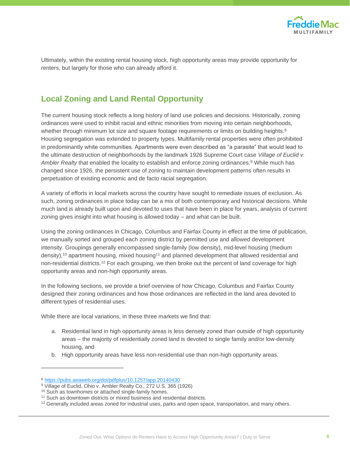

Ultimately, within the existing rental housing stock, high opportunity areas may provide opportunity for renters, but largely for those who can already afford it.

# **Local Zoning and Land Rental Opportunity**

The current housing stock reflects a long history of land use policies and decisions. Historically, zoning ordinances were used to inhibit racial and ethnic minorities from moving into certain neighborhoods, whether through minimum lot size and square footage requirements or limits on building heights.<sup>8</sup> Housing segregation was extended to property types. Multifamily rental properties were often prohibited in predominantly white communities. Apartments were even described as "a parasite" that would lead to the ultimate destruction of neighborhoods by the landmark 1926 Supreme Court case *Village of Euclid v. Ambler Realty* that enabled the locality to establish and enforce zoning ordinances.<sup>9</sup> While much has changed since 1926, the persistent use of zoning to maintain development patterns often results in perpetuation of existing economic and de facto racial segregation.

A variety of efforts in local markets across the country have sought to remediate issues of exclusion. As such, zoning ordinances in place today can be a mix of both contemporary and historical decisions. While much land is already built upon and devoted to uses that have been in place for years, analysis of current zoning gives insight into what housing is allowed today – and what can be built.

Using the zoning ordinances in Chicago, Columbus and Fairfax County in effect at the time of publication, we manually sorted and grouped each zoning district by permitted use and allowed development intensity. Groupings generally encompassed single-family (low density), mid-level housing (medium density),<sup>10</sup> apartment housing, mixed housing<sup>11</sup> and planned development that allowed residential and non-residential districts.<sup>12</sup> For each grouping, we then broke out the percent of land coverage for high opportunity areas and non-high opportunity areas.

In the following sections, we provide a brief overview of how Chicago, Columbus and Fairfax County designed their zoning ordinances and how those ordinances are reflected in the land area devoted to different types of residential uses.

While there are local variations, in these three markets we find that:

- a. Residential land in high opportunity areas is less densely zoned than outside of high opportunity areas – the majority of residentially zoned land is devoted to single family and/or low-density housing, and
- b. High opportunity areas have less non-residential use than non-high opportunity areas.

<sup>8</sup> <https://pubs.aeaweb.org/doi/pdfplus/10.1257/app.20140430>

<sup>&</sup>lt;sup>9</sup> Village of Euclid, Ohio v. Ambler Realty Co., 272 U.S. 365 (1926)

<sup>&</sup>lt;sup>10</sup> Such as townhomes or attached single-family homes.

<sup>&</sup>lt;sup>11</sup> Such as downtown districts or mixed business and residential districts.

<sup>&</sup>lt;sup>12</sup> Generally included areas zoned for industrial uses, parks and open space, transportation, and many others.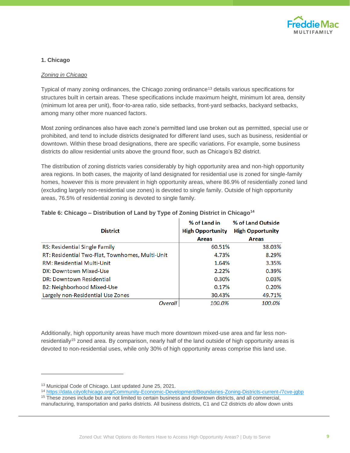

#### **1. Chicago**

#### *Zoning in Chicago*

Typical of many zoning ordinances, the Chicago zoning ordinance<sup>13</sup> details various specifications for structures built in certain areas. These specifications include maximum height, minimum lot area, density (minimum lot area per unit), floor-to-area ratio, side setbacks, front-yard setbacks, backyard setbacks, among many other more nuanced factors.

Most zoning ordinances also have each zone's permitted land use broken out as permitted, special use or prohibited, and tend to include districts designated for different land uses, such as business, residential or downtown. Within these broad designations, there are specific variations. For example, some business districts do allow residential units above the ground floor, such as Chicago's B2 district.

The distribution of zoning districts varies considerably by high opportunity area and non-high opportunity area regions. In both cases, the majority of land designated for residential use is zoned for single-family homes, however this is more prevalent in high opportunity areas, where 86.9% of residentially zoned land (excluding largely non-residential use zones) is devoted to single family. Outside of high opportunity areas, 76.5% of residential zoning is devoted to single family.

| <b>District</b>                                 | % of Land in<br><b>High Opportunity</b> | % of Land Outside<br><b>High Opportunity</b> |
|-------------------------------------------------|-----------------------------------------|----------------------------------------------|
|                                                 | <b>Areas</b>                            | <b>Areas</b>                                 |
| RS: Residential Single Family                   | 60.51%                                  | 38.03%                                       |
| RT: Residential Two-Flat, Townhomes, Multi-Unit | 4.73%                                   | 8.29%                                        |
| <b>RM: Residential Multi-Unit</b>               | 1.64%                                   | 3.35%                                        |
| DX: Downtown Mixed-Use                          | 2.22%                                   | 0.39%                                        |
| <b>DR: Downtown Residential</b>                 | 0.30%                                   | 0.03%                                        |
| B2: Neighborhood Mixed-Use                      | 0.17%                                   | 0.20%                                        |
| Largely non-Residential Use Zones               | 30.43%                                  | 49.71%                                       |
| Overall                                         | 100.0%                                  | 100.0%                                       |

#### **Table 6: Chicago – Distribution of Land by Type of Zoning District in Chicago<sup>14</sup>**

Additionally, high opportunity areas have much more downtown mixed-use area and far less nonresidentially<sup>15</sup> zoned area. By comparison, nearly half of the land outside of high opportunity areas is devoted to non-residential uses, while only 30% of high opportunity areas comprise this land use.

<sup>13</sup> Municipal Code of Chicago. Last updated June 25, 2021.

<sup>14</sup> <https://data.cityofchicago.org/Community-Economic-Development/Boundaries-Zoning-Districts-current-/7cve-jgbp>

<sup>&</sup>lt;sup>15</sup> These zones include but are not limited to certain business and downtown districts, and all commercial, manufacturing, transportation and parks districts. All business districts, C1 and C2 districts *do* allow down units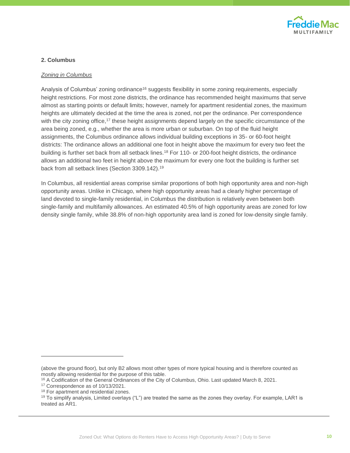

#### **2. Columbus**

#### *Zoning in Columbus*

Analysis of Columbus' zoning ordinance<sup>16</sup> suggests flexibility in some zoning requirements, especially height restrictions. For most zone districts, the ordinance has recommended height maximums that serve almost as starting points or default limits; however, namely for apartment residential zones, the maximum heights are ultimately decided at the time the area is zoned, not per the ordinance. Per correspondence with the city zoning office,<sup>17</sup> these height assignments depend largely on the specific circumstance of the area being zoned, e.g., whether the area is more urban or suburban. On top of the fluid height assignments, the Columbus ordinance allows individual building exceptions in 35- or 60-foot height districts: The ordinance allows an additional one foot in height above the maximum for every two feet the building is further set back from all setback lines.<sup>18</sup> For 110- or 200-foot height districts, the ordinance allows an additional two feet in height above the maximum for every one foot the building is further set back from all setback lines (Section 3309.142).<sup>19</sup>

In Columbus, all residential areas comprise similar proportions of both high opportunity area and non-high opportunity areas. Unlike in Chicago, where high opportunity areas had a clearly higher percentage of land devoted to single-family residential, in Columbus the distribution is relatively even between both single-family and multifamily allowances. An estimated 40.5% of high opportunity areas are zoned for low density single family, while 38.8% of non-high opportunity area land is zoned for low-density single family.

<sup>(</sup>above the ground floor), but only B2 allows most other types of more typical housing and is therefore counted as mostly allowing residential for the purpose of this table.

<sup>&</sup>lt;sup>16</sup> A Codification of the General Ordinances of the City of Columbus, Ohio. Last updated March 8, 2021.

<sup>17</sup> Correspondence as of 10/13/2021.

<sup>&</sup>lt;sup>18</sup> For apartment and residential zones.

 $19$  To simplify analysis, Limited overlays ("L") are treated the same as the zones they overlay. For example, LAR1 is treated as AR1.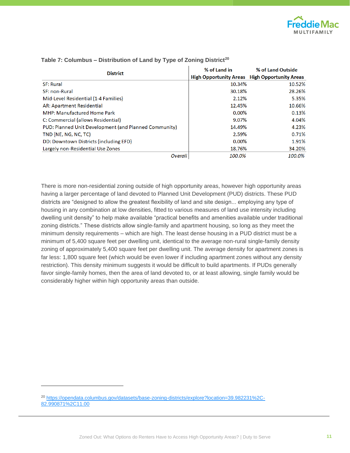

| <b>District</b>                                       | % of Land in | % of Land Outside                                    |
|-------------------------------------------------------|--------------|------------------------------------------------------|
|                                                       |              | <b>High Opportunity Areas</b> High Opportunity Areas |
| <b>SF: Rural</b>                                      | 10.34%       | 10.52%                                               |
| <b>SF: non-Rural</b>                                  | 30.18%       | 28.26%                                               |
| Mid-Level Residential (1-4 Families)                  | 2.12%        | 5.35%                                                |
| AR: Apartment Residential                             | 12.45%       | 10.66%                                               |
| <b>MHP: Manufactured Home Park</b>                    | 0.00%        | 0.13%                                                |
| C: Commercial (allows Residential)                    | 9.07%        | 4.04%                                                |
| PUD: Planned Unit Development (and Planned Community) | 14.49%       | 4.23%                                                |
| TND (NE, NG, NC, TC)                                  | 2.59%        | 0.71%                                                |
| DD: Downtown Districts (including EFD)                | 0.00%        | 1.91%                                                |
| Largely non-Residential Use Zones                     | 18.76%       | 34.20%                                               |
| <b>Overall</b>                                        | 100.0%       | 100.0%                                               |

#### **Table 7: Columbus – Distribution of Land by Type of Zoning District<sup>20</sup>**

There is more non-residential zoning outside of high opportunity areas, however high opportunity areas having a larger percentage of land devoted to Planned Unit Development (PUD) districts. These PUD districts are "designed to allow the greatest flexibility of land and site design... employing any type of housing in any combination at low densities, fitted to various measures of land use intensity including dwelling unit density" to help make available "practical benefits and amenities available under traditional zoning districts." These districts allow single-family and apartment housing, so long as they meet the minimum density requirements – which are high. The least dense housing in a PUD district must be a minimum of 5,400 square feet per dwelling unit, identical to the average non-rural single-family density zoning of approximately 5,400 square feet per dwelling unit. The average density for apartment zones is far less: 1,800 square feet (which would be even lower if including apartment zones without any density restriction). This density minimum suggests it would be difficult to build apartments. If PUDs generally favor single-family homes, then the area of land devoted to, or at least allowing, single family would be considerably higher within high opportunity areas than outside.

<sup>20</sup> [https://opendata.columbus.gov/datasets/base-zoning-districts/explore?location=39.982231%2C-](https://opendata.columbus.gov/datasets/base-zoning-districts/explore?location=39.982231%2C-82.990871%2C11.00)[82.990871%2C11.00](https://opendata.columbus.gov/datasets/base-zoning-districts/explore?location=39.982231%2C-82.990871%2C11.00)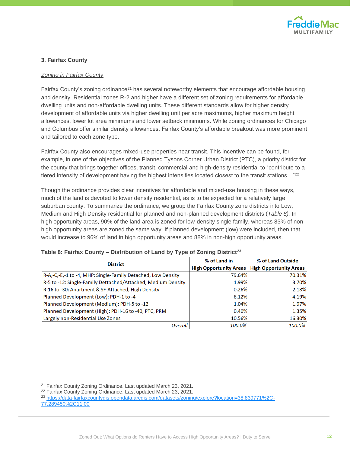

#### **3. Fairfax County**

#### *Zoning in Fairfax County*

Fairfax County's zoning ordinance<sup>21</sup> has several noteworthy elements that encourage affordable housing and density. Residential zones R-2 and higher have a different set of zoning requirements for affordable dwelling units and non-affordable dwelling units. These different standards allow for higher density development of affordable units via higher dwelling unit per acre maximums, higher maximum height allowances, lower lot area minimums and lower setback minimums. While zoning ordinances for Chicago and Columbus offer similar density allowances, Fairfax County's affordable breakout was more prominent and tailored to each zone type.

Fairfax County also encourages mixed-use properties near transit. This incentive can be found, for example, in one of the objectives of the Planned Tysons Corner Urban District (PTC), a priority district for the county that brings together offices, transit, commercial and high-density residential to "contribute to a tiered intensity of development having the highest intensities located closest to the transit stations..."<sup>22</sup>

Though the ordinance provides clear incentives for affordable and mixed-use housing in these ways, much of the land is devoted to lower density residential, as is to be expected for a relatively large suburban county. To summarize the ordinance, we group the Fairfax County zone districts into Low, Medium and High Density residential for planned and non-planned development districts (*Table 8).* In high opportunity areas, 90% of the land area is zoned for low-density single family, whereas 83% of nonhigh opportunity areas are zoned the same way. If planned development (low) were included, then that would increase to 96% of land in high opportunity areas and 88% in non-high opportunity areas.

| <b>District</b>                                              | % of Land in | % of Land Outside                                    |  |  |
|--------------------------------------------------------------|--------------|------------------------------------------------------|--|--|
|                                                              |              | <b>High Opportunity Areas</b> High Opportunity Areas |  |  |
| R-A,-C,-E,-1 to -4, MHP: Single-Family Detached, Low Density | 79.64%       | 70.31%                                               |  |  |
| R-5 to -12: Single-Family Dettached/Attached, Medium Density | 1.99%        | 3.70%                                                |  |  |
| R-16 to -30: Apartment & SF-Attached, High Density           | 0.26%        | 2.18%                                                |  |  |
| Planned Development (Low): PDH-1 to -4                       | 6.12%        | 4.19%                                                |  |  |
| Planned Development (Medium): PDH-5 to -12                   | 1.04%        | 1.97%                                                |  |  |
| Planned Development (High): PDH-16 to -40, PTC, PRM          | 0.40%        | 1.35%                                                |  |  |
| Largely non-Residential Use Zones                            | 10.56%       | 16.30%                                               |  |  |
| <b>Overall</b>                                               | 100.0%       | 100.0%                                               |  |  |

#### **Table 8: Fairfax County – Distribution of Land by Type of Zoning District<sup>23</sup>**

<sup>21</sup> Fairfax County Zoning Ordinance. Last updated March 23, 2021.

<sup>22</sup> Fairfax County Zoning Ordinance. Last updated March 23, 2021.

<sup>23</sup> [https://data-fairfaxcountygis.opendata.arcgis.com/datasets/zoning/explore?location=38.839771%2C-](https://data-fairfaxcountygis.opendata.arcgis.com/datasets/zoning/explore?location=38.839771%2C-77.289450%2C11.00)[77.289450%2C11.00](https://data-fairfaxcountygis.opendata.arcgis.com/datasets/zoning/explore?location=38.839771%2C-77.289450%2C11.00)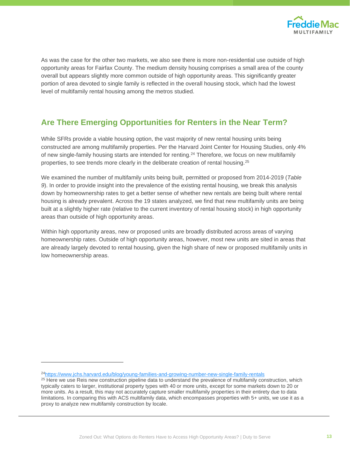

As was the case for the other two markets, we also see there is more non-residential use outside of high opportunity areas for Fairfax County. The medium density housing comprises a small area of the county overall but appears slightly more common outside of high opportunity areas. This significantly greater portion of area devoted to single family is reflected in the overall housing stock, which had the lowest level of multifamily rental housing among the metros studied.

# **Are There Emerging Opportunities for Renters in the Near Term?**

While SFRs provide a viable housing option, the vast majority of new rental housing units being constructed are among multifamily properties. Per the Harvard Joint Center for Housing Studies, only 4% of new single-family housing starts are intended for renting.<sup>24</sup> Therefore, we focus on new multifamily properties, to see trends more clearly in the deliberate creation of rental housing.<sup>25</sup>

We examined the number of multifamily units being built, permitted or proposed from 2014-2019 (*Table 9*). In order to provide insight into the prevalence of the existing rental housing, we break this analysis down by homeownership rates to get a better sense of whether new rentals are being built where rental housing is already prevalent. Across the 19 states analyzed, we find that new multifamily units are being built at a slightly higher rate (relative to the current inventory of rental housing stock) in high opportunity areas than outside of high opportunity areas.

Within high opportunity areas, new or proposed units are broadly distributed across areas of varying homeownership rates. Outside of high opportunity areas, however, most new units are sited in areas that are already largely devoted to rental housing, given the high share of new or proposed multifamily units in low homeownership areas.

<sup>24</sup><https://www.jchs.harvard.edu/blog/young-families-and-growing-number-new-single-family-rentals>

<sup>&</sup>lt;sup>25</sup> Here we use Reis new construction pipeline data to understand the prevalence of multifamily construction, which typically caters to larger, institutional property types with 40 or more units, except for some markets down to 20 or more units. As a result, this may not accurately capture smaller multifamily properties in their entirety due to data limitations. In comparing this with ACS multifamily data, which encompasses properties with 5+ units, we use it as a proxy to analyze new multifamily construction by locale.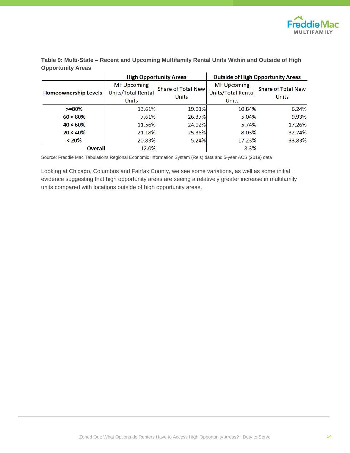

**Table 9: Multi-State – Recent and Upcoming Multifamily Rental Units Within and Outside of High Opportunity Areas** 

|                             |                                                          | <b>High Opportunity Areas</b>             |                                                          | <b>Outside of High Opportunity Areas</b>  |
|-----------------------------|----------------------------------------------------------|-------------------------------------------|----------------------------------------------------------|-------------------------------------------|
| <b>Homeownership Levels</b> | <b>MF Upcoming</b><br><b>Units/Total Rental</b><br>Units | <b>Share of Total New</b><br><b>Units</b> | <b>MF Upcoming</b><br>Units/Total Rental<br><b>Units</b> | <b>Share of Total New</b><br><b>Units</b> |
| $>= 80\%$                   | 13.61%                                                   | 19.01%                                    | 10.84%                                                   | 6.24%                                     |
| $60 < 80\%$                 | 7.61%                                                    | 26.37%                                    | 5.04%                                                    | 9.93%                                     |
| $40 < 60\%$                 | 11.56%                                                   | 24.02%                                    | 5.74%                                                    | 17.26%                                    |
| $20 < 40\%$                 | 21.18%                                                   | 25.36%                                    | 8.03%                                                    | 32.74%                                    |
| $< 20\%$                    | 20.83%                                                   | 5.24%                                     | 17.23%                                                   | 33.83%                                    |
| <b>Overall</b>              | 12.0%                                                    |                                           | 8.3%                                                     |                                           |

Source: Freddie Mac Tabulations Regional Economic Information System (Reis) data and 5-year ACS (2019) data

Looking at Chicago, Columbus and Fairfax County, we see some variations, as well as some initial evidence suggesting that high opportunity areas are seeing a relatively greater increase in multifamily units compared with locations outside of high opportunity areas.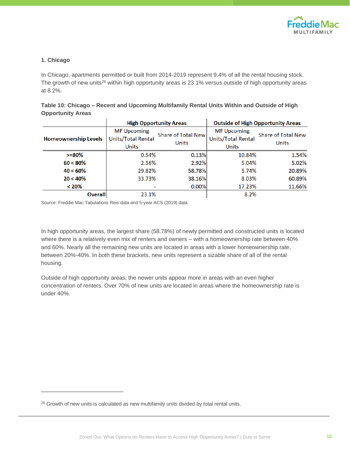

#### **1. Chicago**

In Chicago, apartments permitted or built from 2014-2019 represent 9.4% of all the rental housing stock. The growth of new units<sup>26</sup> within high opportunity areas is 23.1% versus outside of high opportunity areas at 8.2%.

|                          | <b>TITLE CONTINUES TO ANDERS</b> | Considered in the Company of the America                                                    |  |
|--------------------------|----------------------------------|---------------------------------------------------------------------------------------------|--|
| <b>Opportunity Areas</b> |                                  |                                                                                             |  |
|                          |                                  | Table 10: Chicago – Recent and Upcoming Multifamily Rental Units Within and Outside of High |  |

|                             | <b>High Opportunity Areas</b>                            |                                           |                                                                 | <b>Outside of High Opportunity Areas</b>  |
|-----------------------------|----------------------------------------------------------|-------------------------------------------|-----------------------------------------------------------------|-------------------------------------------|
| <b>Homeownership Levels</b> | <b>MF Upcoming</b><br>Units/Total Rental<br><b>Units</b> | <b>Share of Total New</b><br><b>Units</b> | <b>MF Upcoming</b><br><b>Units/Total Rental</b><br><b>Units</b> | <b>Share of Total New</b><br><b>Units</b> |
| $>= 80\%$                   | 0.54%                                                    | 0.13%                                     | 10.84%                                                          | 1.54%                                     |
| $60 < 80\%$                 | 2.56%                                                    | 2.92%                                     | 5.04%                                                           | 5.02%                                     |
| $40 < 60\%$                 | 29.82%                                                   | 58.78%                                    | 5.74%                                                           | 20.89%                                    |
| $20 < 40\%$                 | 33.73%                                                   | 38.16%                                    | 8.03%                                                           | 60.89%                                    |
| < 20%                       |                                                          | 0.00%                                     | 17.23%                                                          | 11.66%                                    |
| <b>Overall</b>              | 23.1%                                                    |                                           | 8.2%                                                            |                                           |

Source: Freddie Mac Tabulations Reis data and 5-year ACS (2019) data

In high opportunity areas, the largest share (58.78%) of newly permitted and constructed units is located where there is a relatively even mix of renters and owners – with a homeownership rate between 40% and 60%. Nearly all the remaining new units are located in areas with a lower homeownership rate, between 20%-40%. In both these brackets, new units represent a sizable share of all of the rental housing.

Outside of high opportunity areas, the newer units appear more in areas with an even higher concentration of renters. Over 70% of new units are located in areas where the homeownership rate is under 40%.

<sup>&</sup>lt;sup>26</sup> Growth of new units is calculated as new multifamily units divided by total rental units.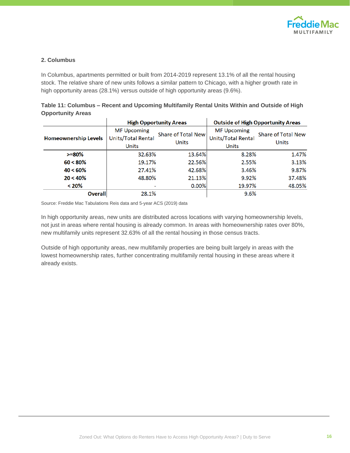

#### **2. Columbus**

In Columbus, apartments permitted or built from 2014-2019 represent 13.1% of all the rental housing stock. The relative share of new units follows a similar pattern to Chicago, with a higher growth rate in high opportunity areas (28.1%) versus outside of high opportunity areas (9.6%).

|                             |                                                   | <b>High Opportunity Areas</b>      | <b>Outside of High Opportunity Areas</b>                 |                                           |
|-----------------------------|---------------------------------------------------|------------------------------------|----------------------------------------------------------|-------------------------------------------|
| <b>Homeownership Levels</b> | <b>MF Upcoming</b><br>Units/Total Rental<br>Units | <b>Share of Total New</b><br>Units | <b>MF Upcoming</b><br>Units/Total Rental<br><b>Units</b> | <b>Share of Total New</b><br><b>Units</b> |
| $>= 80\%$                   | 32.63%                                            | 13.64%                             | 8.28%                                                    | 1.47%                                     |
| $60 < 80\%$                 | 19.17%                                            | 22.56%                             | 2.55%                                                    | 3.13%                                     |
| $40 < 60\%$                 | 27.41%                                            | 42.68%                             | 3.46%                                                    | 9.87%                                     |
| $20 < 40\%$                 | 48.80%                                            | 21.13%                             | 9.92%                                                    | 37.48%                                    |
| $< 20\%$                    |                                                   | $0.00\%$                           | 19.97%                                                   | 48.05%                                    |
| <b>Overall</b>              | 28.1%                                             |                                    | 9.6%                                                     |                                           |

| Table 11: Columbus – Recent and Upcoming Multifamily Rental Units Within and Outside of High |  |  |
|----------------------------------------------------------------------------------------------|--|--|
| <b>Opportunity Areas</b>                                                                     |  |  |

Source: Freddie Mac Tabulations Reis data and 5-year ACS (2019) data

In high opportunity areas, new units are distributed across locations with varying homeownership levels, not just in areas where rental housing is already common. In areas with homeownership rates over 80%, new multifamily units represent 32.63% of all the rental housing in those census tracts.

Outside of high opportunity areas, new multifamily properties are being built largely in areas with the lowest homeownership rates, further concentrating multifamily rental housing in these areas where it already exists.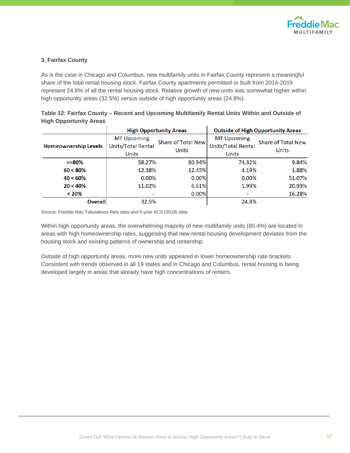

#### **3. Fairfax County**

As is the case in Chicago and Columbus, new multifamily units in Fairfax County represent a meaningful share of the total rental housing stock. Fairfax County apartments permitted or built from 2014-2019 represent 24.8% of all the rental housing stock. Relative growth of new units was somewhat higher within high opportunity areas (32.5%) versus outside of high opportunity areas (24.8%).

|                             | <b>High Opportunity Areas</b>                                   |                                    | <b>Outside of High Opportunity Areas</b>                        |                                           |
|-----------------------------|-----------------------------------------------------------------|------------------------------------|-----------------------------------------------------------------|-------------------------------------------|
| <b>Homeownership Levels</b> | <b>MF Upcoming</b><br><b>Units/Total Rental</b><br><b>Units</b> | <b>Share of Total New</b><br>Units | <b>MF Upcoming</b><br><b>Units/Total Rental</b><br><b>Units</b> | <b>Share of Total New</b><br><b>Units</b> |
| $>= 80\%$                   | 58.27%                                                          | 80.94%                             | 74.32%                                                          | 9.84%                                     |
| $60 < 80\%$                 | 12.38%                                                          | 12.45%                             | 4.19%                                                           | 1.88%                                     |
| $40 < 60\%$                 | 0.00%                                                           | 0.00%                              | 0.00%                                                           | 51.07%                                    |
| $20 < 40\%$                 | 11.02%                                                          | 6.61%                              | 1.99%                                                           | 20.93%                                    |
| $< 20\%$                    |                                                                 | 0.00%                              |                                                                 | 16.28%                                    |
| <b>Overall</b>              | 32.5%                                                           |                                    | 24.8%                                                           |                                           |

**Table 12: Fairfax County – Recent and Upcoming Multifamily Rental Units Within and Outside of High Opportunity Areas**

Source: Freddie Mac Tabulations Reis data and 5-year ACS (2019) data

Within high opportunity areas, the overwhelming majority of new multifamily units (80.4%) are located in areas with high homeownership rates, suggesting that new rental housing development deviates from the housing stock and existing patterns of ownership and rentership.

Outside of high opportunity areas, more new units appeared in lower homeownership rate brackets. Consistent with trends observed in all 19 states and in Chicago and Columbus, rental housing is being developed largely in areas that already have high concentrations of renters.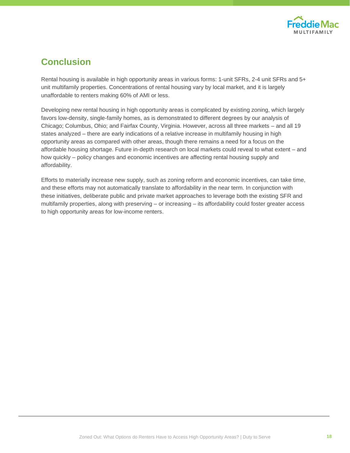

# **Conclusion**

Rental housing is available in high opportunity areas in various forms: 1-unit SFRs, 2-4 unit SFRs and 5+ unit multifamily properties. Concentrations of rental housing vary by local market, and it is largely unaffordable to renters making 60% of AMI or less.

Developing new rental housing in high opportunity areas is complicated by existing zoning, which largely favors low-density, single-family homes, as is demonstrated to different degrees by our analysis of Chicago; Columbus, Ohio; and Fairfax County, Virginia. However, across all three markets – and all 19 states analyzed – there are early indications of a relative increase in multifamily housing in high opportunity areas as compared with other areas, though there remains a need for a focus on the affordable housing shortage. Future in-depth research on local markets could reveal to what extent – and how quickly – policy changes and economic incentives are affecting rental housing supply and affordability.

Efforts to materially increase new supply, such as zoning reform and economic incentives, can take time, and these efforts may not automatically translate to affordability in the near term. In conjunction with these initiatives, deliberate public and private market approaches to leverage both the existing SFR and multifamily properties, along with preserving – or increasing – its affordability could foster greater access to high opportunity areas for low-income renters.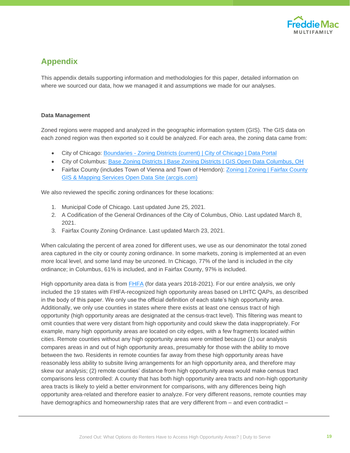

# **Appendix**

This appendix details supporting information and methodologies for this paper, detailed information on where we sourced our data, how we managed it and assumptions we made for our analyses.

#### **Data Management**

Zoned regions were mapped and analyzed in the geographic information system (GIS). The GIS data on each zoned region was then exported so it could be analyzed. For each area, the zoning data came from:

- City of Chicago: Boundaries [Zoning Districts \(current\) | City of Chicago | Data Portal](https://data.cityofchicago.org/Community-Economic-Development/Boundaries-Zoning-Districts-current-/7cve-jgbp)
- City of Columbus: [Base Zoning Districts | Base Zoning Districts | GIS Open Data Columbus, OH](https://opendata.columbus.gov/datasets/base-zoning-districts/explore?location=39.982231%2C-82.990871%2C11.00)
- Fairfax County (includes Town of Vienna and Town of Herndon): Zoning | Zoning | Fairfax County [GIS & Mapping Services Open Data Site \(arcgis.com\)](https://data-fairfaxcountygis.opendata.arcgis.com/datasets/zoning/explore?location=38.839771%2C-77.289450%2C11.00)

We also reviewed the specific zoning ordinances for these locations:

- 1. Municipal Code of Chicago. Last updated June 25, 2021.
- 2. A Codification of the General Ordinances of the City of Columbus, Ohio. Last updated March 8, 2021.
- 3. Fairfax County Zoning Ordinance. Last updated March 23, 2021.

When calculating the percent of area zoned for different uses, we use as our denominator the total zoned area captured in the city or county zoning ordinance. In some markets, zoning is implemented at an even more local level, and some land may be unzoned. In Chicago, 77% of the land is included in the city ordinance; in Columbus, 61% is included, and in Fairfax County, 97% is included.

High opportunity area data is from [FHFA](https://www.fhfa.gov/DataTools/Downloads/Pages/Duty-to-Serve-Data.aspx) (for data years 2018-2021). For our entire analysis, we only included the 19 states with FHFA-recognized high opportunity areas based on LIHTC QAPs, as described in the body of this paper. We only use the official definition of each state's high opportunity area. Additionally, we only use counties in states where there exists at least one census tract of high opportunity (high opportunity areas are designated at the census-tract level). This filtering was meant to omit counties that were very distant from high opportunity and could skew the data inappropriately. For example, many high opportunity areas are located on city edges, with a few fragments located within cities. Remote counties without any high opportunity areas were omitted because (1) our analysis compares areas in and out of high opportunity areas, presumably for those with the ability to move between the two. Residents in remote counties far away from these high opportunity areas have reasonably less ability to subsite living arrangements for an high opportunity area, and therefore may skew our analysis; (2) remote counties' distance from high opportunity areas would make census tract comparisons less controlled: A county that has both high opportunity area tracts and non-high opportunity area tracts is likely to yield a better environment for comparisons, with any differences being high opportunity area-related and therefore easier to analyze. For very different reasons, remote counties may have demographics and homeownership rates that are very different from – and even contradict –